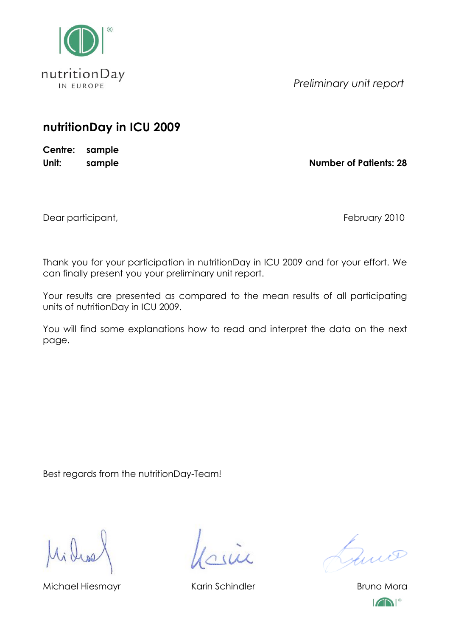

*Preliminary unit report*

## **nutritionDay in ICU 2009**

**Centre: sample**

**Unit: sample Number of Patients: 28**

Dear participant, The Contract of the Contract of the Contract of Technology 2010

Thank you for your participation in nutritionDay in ICU 2009 and for your effort. We can finally present you your preliminary unit report.

Your results are presented as compared to the mean results of all participating units of nutritionDay in ICU 2009.

You will find some explanations how to read and interpret the data on the next page.

Best regards from the nutritionDay-Team!

Michael Hiesmayr **Karin Schindler** Bruno Mora

Guio

 $\sqrt{N}$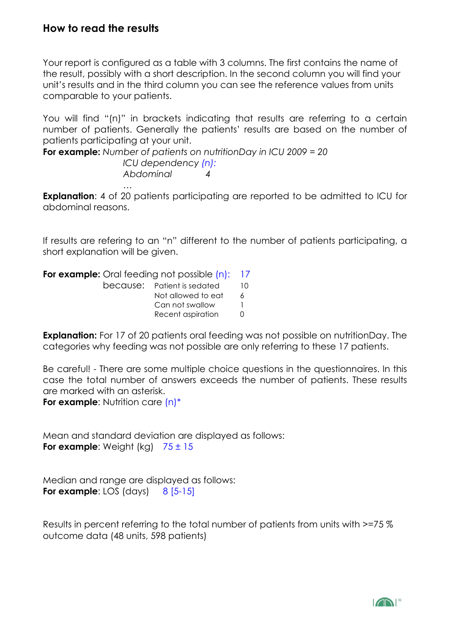## **How to read the results**

Your report is configured as a table with 3 columns. The first contains the name of the result, possibly with a short description. In the second column you will find your unit's results and in the third column you can see the reference values from units comparable to your patients.

You will find "(n)" in brackets indicating that results are referring to a certain number of patients. Generally the patients' results are based on the number of patients participating at your unit.

**For example:** *Number of patients on nutritionDay in ICU 2009 = 20*

*ICU dependency (n): Abdominal 4*

*…* **Explanation:** 4 of 20 patients participating are reported to be admitted to ICU for abdominal reasons.

If results are refering to an "n" different to the number of patients participating, a short explanation will be given.

**For example:** Oral feeding not possible (n): 17 because: Patient is sedated 10 Not allowed to eat 6 Can not swallow 1 Recent aspiration 0

**Explanation:** For 17 of 20 patients oral feeding was not possible on nutritionDay. The categories why feeding was not possible are only referring to these 17 patients.

Be careful! - There are some multiple choice questions in the questionnaires. In this case the total number of answers exceeds the number of patients. These results are marked with an asterisk.

**For example:** Nutrition care  $(n)^*$ 

Mean and standard deviation are displayed as follows: **For example:** Weight (kg)  $75 \pm 15$ 

Median and range are displayed as follows: **For example:** LOS (days)  $8$  [5-15]

Results in percent referring to the total number of patients from units with >=75 % outcome data (48 units, 598 patients)

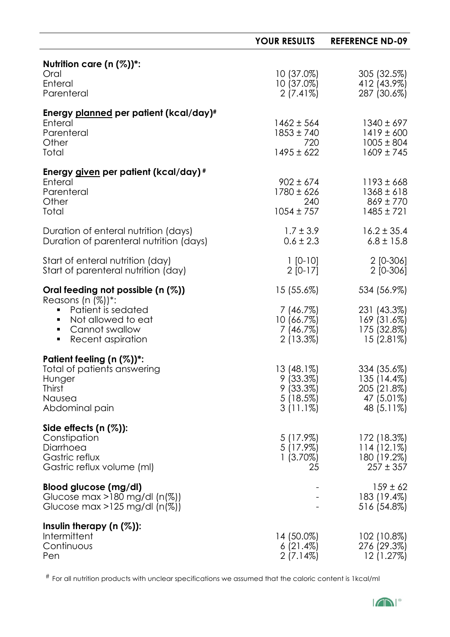|                                                                                                                                                                                               | <b>YOUR RESULTS</b>                                                | <b>REFERENCE ND-09</b>                                                 |
|-----------------------------------------------------------------------------------------------------------------------------------------------------------------------------------------------|--------------------------------------------------------------------|------------------------------------------------------------------------|
| Nutrition care $(n (\%))^*$ :<br>Oral<br>Enteral<br>Parenteral                                                                                                                                | $10(37.0\%)$<br>$10(37.0\%)$<br>$2(7.41\%)$                        | 305 (32.5%)<br>412 (43.9%)<br>287 (30.6%)                              |
| Energy planned per patient (kcal/day)#<br>Enteral<br>Parenteral<br>Other<br>Total                                                                                                             | $1462 \pm 564$<br>$1853 \pm 740$<br>720<br>$1495 \pm 622$          | $1340 \pm 697$<br>$1419 \pm 600$<br>$1005 \pm 804$<br>$1609 \pm 745$   |
| Energy given per patient (kcal/day)#<br>Enteral<br>Parenteral<br>Other<br>Total                                                                                                               | $902 \pm 674$<br>$1780 \pm 626$<br>240<br>$1054 \pm 757$           | $1193 \pm 668$<br>$1368 \pm 618$<br>$869 \pm 770$<br>$1485 \pm 721$    |
| Duration of enteral nutrition (days)<br>Duration of parenteral nutrition (days)                                                                                                               | $1.7 \pm 3.9$<br>$0.6 \pm 2.3$                                     | $16.2 \pm 35.4$<br>$6.8 \pm 15.8$                                      |
| Start of enteral nutrition (day)<br>Start of parenteral nutrition (day)                                                                                                                       | $1 [0-10]$<br>$2 [0-17]$                                           | $2[0-306]$<br>$2$ [0-306]                                              |
| Oral feeding not possible $(n \, (\%)$<br>Reasons (n (%))*:<br>Patient is sedated<br>π.<br>Not allowed to eat<br>$\blacksquare$<br>Cannot swallow<br>$\blacksquare$<br>Recent aspiration<br>٠ | $15(55.6\%)$<br>7(46.7%)<br>10(66.7%)<br>7(46.7%)<br>$2(13.3\%)$   | 534 (56.9%)<br>231 (43.3%)<br>169 (31.6%)<br>175 (32.8%)<br>15 (2.81%) |
| Patient feeling $(n (\%))^*$ :<br>Total of patients answering<br>Hunger<br><b>Thirst</b><br>Nausea<br>Abdominal pain                                                                          | $13(48.1\%)$<br>9(33.3%)<br>9(33.3%)<br>$5(18.5\%)$<br>$3(11.1\%)$ | 334 (35.6%)<br>135(14.4%)<br>205 (21.8%)<br>47 (5.01%)<br>48 (5.11%)   |
| Side effects $(n (\%))$ :<br>Constipation<br>Diarrhoea<br>Gastric reflux<br>Gastric reflux volume (ml)                                                                                        | $5(17.9\%)$<br>$5(17.9\%)$<br>$1(3.70\%)$<br>25                    | 172 (18.3%)<br>114(12.1%)<br>180 (19.2%)<br>$257 \pm 357$              |
| Blood glucose (mg/dl)<br>Glucose max >180 mg/dl (n(%))<br>Glucose max >125 mg/dl $(n(\%))$                                                                                                    |                                                                    | $159 \pm 62$<br>183 (19.4%)<br>516 (54.8%)                             |
| Insulin therapy $(n (\%))$ :<br>Intermittent<br>Continuous<br>Pen                                                                                                                             | 14 (50.0%)<br>$6(21.4\%)$<br>$2(7.14\%)$                           | 102 (10.8%)<br>276 (29.3%)<br>12(1.27%)                                |

# For all nutrition products with unclear specifications we assumed that the caloric content is 1kcal/ml

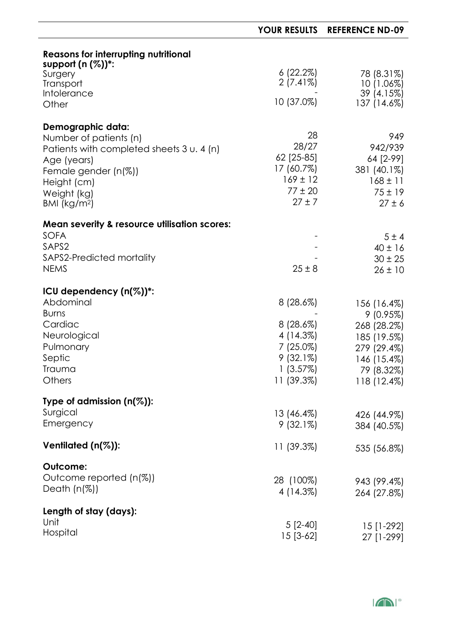|                                                                      | <b>YOUR RESULTS</b>     | <b>REFERENCE ND-09</b>     |
|----------------------------------------------------------------------|-------------------------|----------------------------|
| <b>Reasons for interrupting nutritional</b><br>support $(n (%))^*$ : |                         |                            |
| Surgery<br>Transport                                                 | 6(22.2%)<br>$2(7.41\%)$ | 78 (8.31%)<br>$10(1.06\%)$ |
| <b>Intolerance</b><br>Other                                          | 10 (37.0%)              | 39 (4.15%)<br>137 (14.6%)  |
| <b>Demographic data:</b>                                             |                         |                            |
| Number of patients (n)                                               | 28                      | 949                        |
| Patients with completed sheets 3 u. 4 (n)                            | 28/27                   | 942/939                    |
| Age (years)                                                          | 62 [25-85]              | 64 [2-99]                  |
| Female gender $(n(\%))$                                              | 17 (60.7%)              | 381 (40.1%)                |
| Height (cm)                                                          | $169 \pm 12$            | $168 \pm 11$               |
| Weight (kg)                                                          | $77 \pm 20$             | $75 \pm 19$                |
| BMI ( $kg/m2$ )                                                      | $27 \pm 7$              | $27 \pm 6$                 |
| <b>Mean severity &amp; resource utilisation scores:</b>              |                         |                            |
| <b>SOFA</b>                                                          |                         | 5±4                        |
| SAPS2                                                                |                         | $40 \pm 16$                |
| SAPS2-Predicted mortality                                            |                         | $30 \pm 25$                |
| <b>NEMS</b>                                                          | $25 \pm 8$              | $26 \pm 10$                |
| ICU dependency $(n(\%))^*$ :                                         |                         |                            |
| Abdominal                                                            | $8(28.6\%)$             | 156 (16.4%)                |
| <b>Burns</b>                                                         |                         | $9(0.95\%)$                |
| Cardiac                                                              | $8(28.6\%)$             | 268 (28.2%)                |
| Neurological                                                         | 4 (14.3%)               | 185 (19.5%)                |
| Pulmonary                                                            | 7 (25.0%)               | 279 (29.4%)                |
| Septic                                                               | $9(32.1\%)$             | 146 (15.4%)                |
| Trauma                                                               | 1(3.57%)                | 79 (8.32%)                 |
| Others                                                               | 11 (39.3%)              | 118 (12.4%)                |
|                                                                      |                         |                            |
| Type of admission $(n(\%))$ :                                        |                         |                            |
| Surgical                                                             | $13(46.4\%)$            | 426 (44.9%)                |
| Emergency                                                            | $9(32.1\%)$             | 384 (40.5%)                |
| Ventilated $(n(\%))$ :                                               | 11(39.3%)               | 535 (56.8%)                |
| Outcome:                                                             |                         |                            |
| Outcome reported (n(%))                                              | 28 (100%)               | 943 (99.4%)                |
| Death $(n(\%))$                                                      | 4 (14.3%)               | 264 (27.8%)                |
| Length of stay (days):                                               |                         |                            |
| Unit                                                                 |                         |                            |
| Hospital                                                             | $5$ [2-40]              | $15$ [1-292]               |
|                                                                      | $15$ [3-62]             | 27 [1-299]                 |